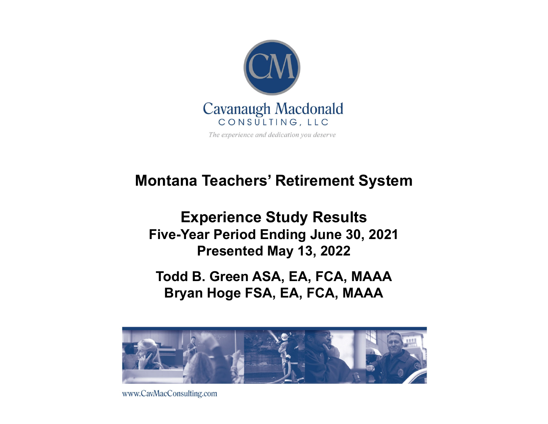

#### **Montana Teachers' Retirement System**

**Experience Study Results Five-Year Period Ending June 30, 2021 Presented May 13, 2022**

**Todd B. Green ASA, EA, FCA, MAAA Bryan Hoge FSA, EA, FCA, MAAA**



www.CavMacConsulting.com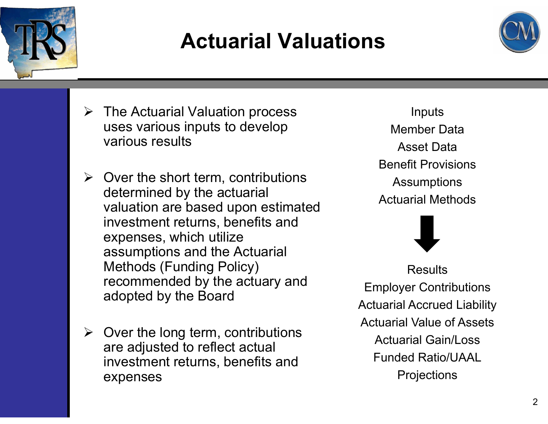

## **Actuarial Valuations**



- The Actuarial Valuation process uses various inputs to develop various results
- $\triangleright$  Over the short term, contributions determined by the actuarial valuation are based upon estimated investment returns, benefits and expenses, which utilize assumptions and the Actuarial Methods (Funding Policy) recommended by the actuary and adopted by the Board
- $\triangleright$  Over the long term, contributions are adjusted to reflect actual investment returns, benefits and expenses

Inputs Member DataAsset DataBenefit ProvisionsAssumptions Actuarial Methods



**Results** Employer Contributions Actuarial Accrued Liability Actuarial Value of AssetsActuarial Gain/LossFunded Ratio/UAAL**Projections**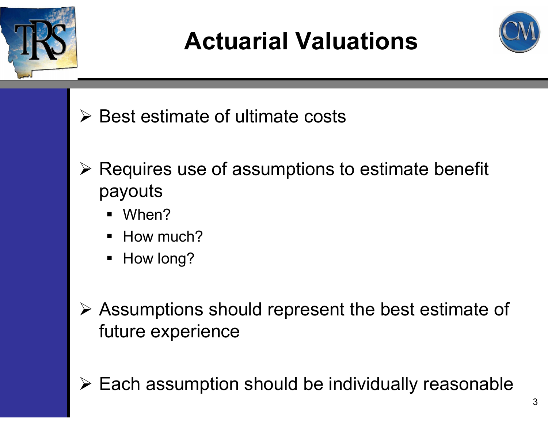

# **Actuarial Valuations**



- $\triangleright$  Best estimate of ultimate costs
- $\triangleright$  Requires use of assumptions to estimate benefit payouts
	- When?
	- How much?
	- ٠ How long?
- Assumptions should represent the best estimate of future experience
- 
- $\triangleright$  Each assumption should be individually reasonable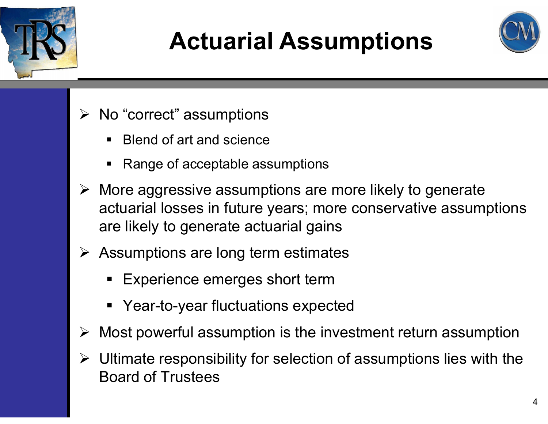

# **Actuarial Assumptions**



- $\triangleright$  No "correct" assumptions
	- Blend of art and science
	- ٠ Range of acceptable assumptions
- $\triangleright$  More aggressive assumptions are more likely to generate actuarial losses in future years; more conservative assumptions are likely to generate actuarial gains
- $\triangleright$  Assumptions are long term estimates
	- Experience emerges short term
	- Year-to-year fluctuations expected
- $\triangleright$  Most powerful assumption is the investment return assumption
- $\triangleright$  Ultimate responsibility for selection of assumptions lies with the Board of Trustees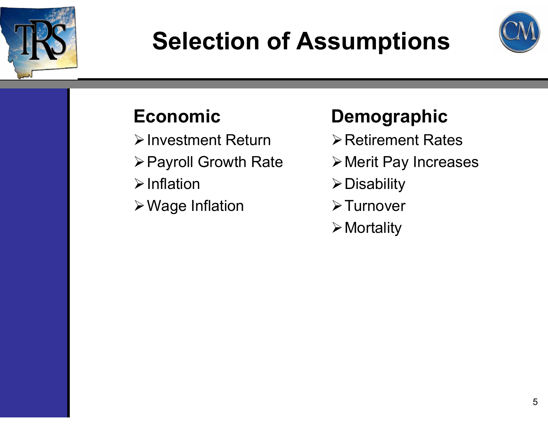

# **Selection of Assumptions**



#### **Economic**

- $\triangleright$  Investment Return
- Payroll Growth Rate
- $\triangleright$  Inflation
- Wage Inflation

#### **Demographic**

- $\triangleright$  Retirement Rates
- Merit Pay Increases
- $\triangleright$  Disability
- **≻Turnover**
- $\triangleright$  Mortality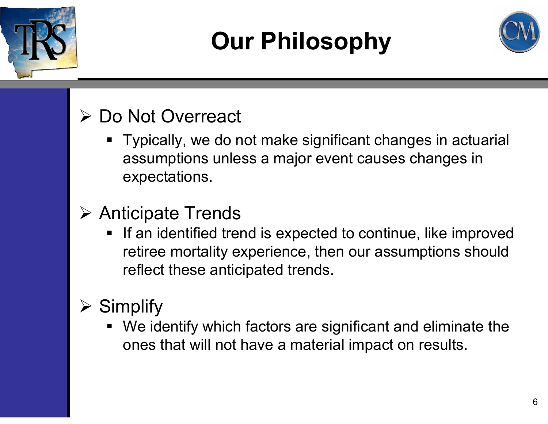

# **Our Philosophy**



#### **► Do Not Overreact**

 Typically, we do not make significant changes in actuarial assumptions unless a major event causes changes in expectations.

#### Anticipate Trends

٠ If an identified trend is expected to continue, like improved retiree mortality experience, then our assumptions should reflect these anticipated trends.

#### $\triangleright$  Simplify

 We identify which factors are significant and eliminate the ones that will not have a material impact on results.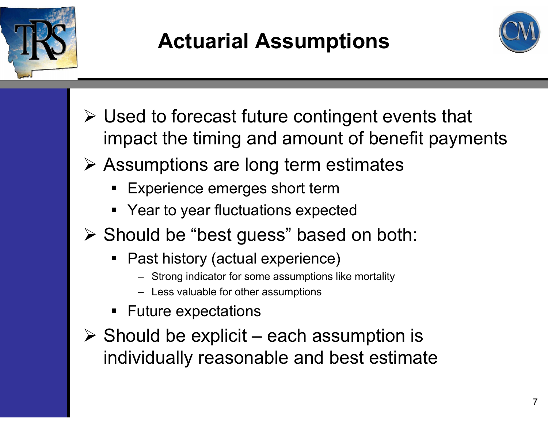

## **Actuarial Assumptions**



- Used to forecast future contingent events that impact the timing and amount of benefit payments
- Assumptions are long term estimates
	- $\blacksquare$ Experience emerges short term
	- **Year to year fluctuations expected**
- Should be "best guess" based on both:
	- Past history (actual experience)
		- Strong indicator for some assumptions like mortality
		- Less valuable for other assumptions
	- $\blacksquare$ Future expectations
- $\triangleright$  Should be explicit each assumption is individually reasonable and best estimate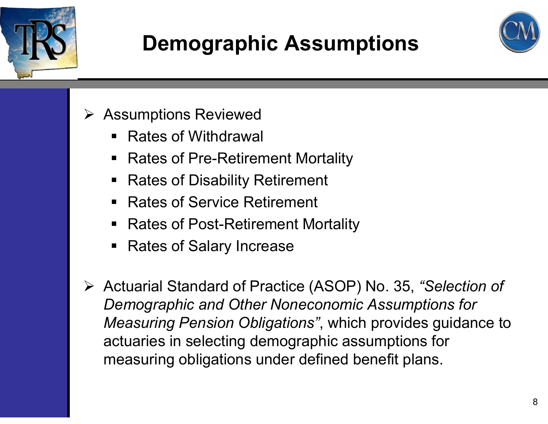

## **Demographic Assumptions**



- **▶ Assumptions Reviewed** 
	- Rates of Withdrawal
	- $\blacksquare$ Rates of Pre-Retirement Mortality
	- $\blacksquare$ Rates of Disability Retirement
	- $\blacksquare$ Rates of Service Retirement
	- $\blacksquare$ Rates of Post-Retirement Mortality
	- $\blacksquare$ Rates of Salary Increase
- Actuarial Standard of Practice (ASOP) No. 35, *"Selection of Demographic and Other Noneconomic Assumptions for Measuring Pension Obligations"*, which provides guidance to actuaries in selecting demographic assumptions for measuring obligations under defined benefit plans.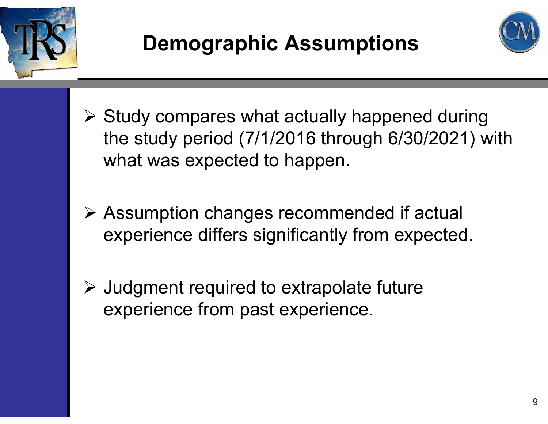



- $\triangleright$  Study compares what actually happened during the study period (7/1/2016 through 6/30/2021) with what was expected to happen.
- Assumption changes recommended if actual experience differs significantly from expected.
- $\triangleright$  Judgment required to extrapolate future experience from past experience.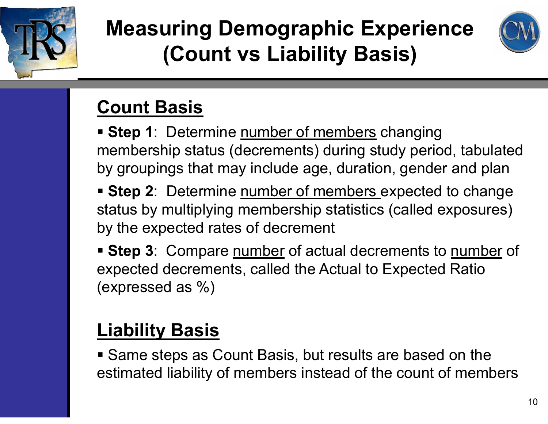

## **Measuring Demographic Experience (Count vs Liability Basis)**



#### **Count Basis**

- **Step 1**: Determine number of members changing membership status (decrements) during study period, tabulated by groupings that may include age, duration, gender and plan
- **Step 2**: Determine number of members expected to change status by multiplying membership statistics (called exposures) by the expected rates of decrement
- **Step 3**: Compare number of actual decrements to number of expected decrements, called the Actual to Expected Ratio (expressed as %)

#### **Liability Basis**

 Same steps as Count Basis, but results are based on the estimated liability of members instead of the count of members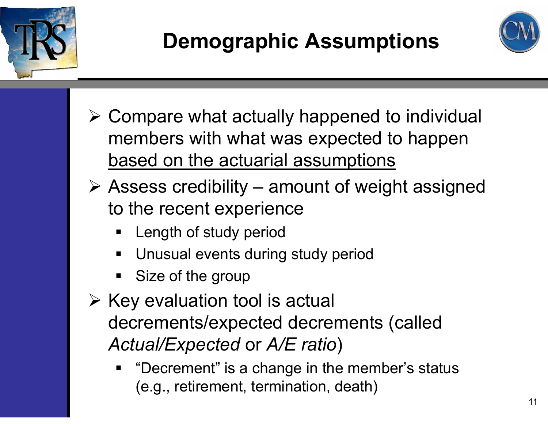



- $\triangleright$  Compare what actually happened to individual members with what was expected to happen based on the actuarial assumptions
- $\triangleright$  Assess credibility amount of weight assigned to the recent experience
	- ٠ Length of study period
	- ٠ Unusual events during study period
	- ٠ Size of the group
- $\triangleright$  Key evaluation tool is actual decrements/expected decrements (called *Actual/Expected* or *A/E ratio* )
	- ٠ "Decrement" is a change in the member's status (e.g., retirement, termination, death)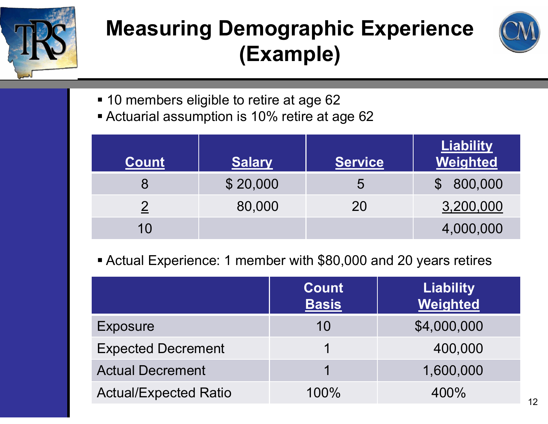

## **Measuring Demographic Experience (Example)**



- 10 members eligible to retire at age 62
- Actuarial assumption is 10% retire at age 62

| <b>Count</b> | <b>Salary</b> | <b>Service</b> | <b>Liability</b><br>Weighted |
|--------------|---------------|----------------|------------------------------|
|              | \$20,000      | 5              | \$800,000                    |
|              | 80,000        | 20             | 3,200,000                    |
| 10           |               |                | 4,000,000                    |

Actual Experience: 1 member with \$80,000 and 20 years retires

|                              | Count<br><b>Basis</b> | <b>Liability</b><br>Weighted |
|------------------------------|-----------------------|------------------------------|
| <b>Exposure</b>              | 10                    | \$4,000,000                  |
| <b>Expected Decrement</b>    |                       | 400,000                      |
| <b>Actual Decrement</b>      |                       | 1,600,000                    |
| <b>Actual/Expected Ratio</b> | 100%                  | 400%                         |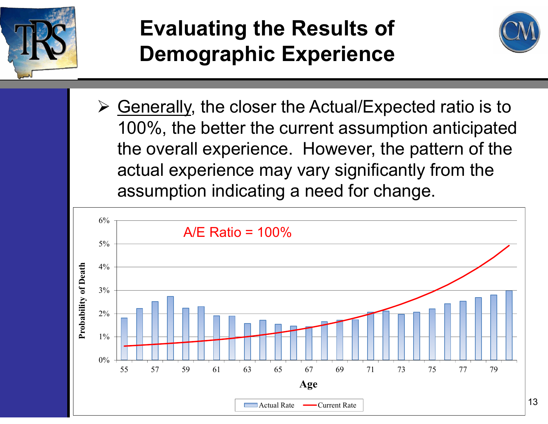

## **Evaluating the Results of Demographic Experience**



**≻ Generally, the closer the Actual/Expected ratio is to** 100%, the better the current assumption anticipated the overall experience. However, the pattern of the actual experience may vary significantly from the assumption indicating a need for change.

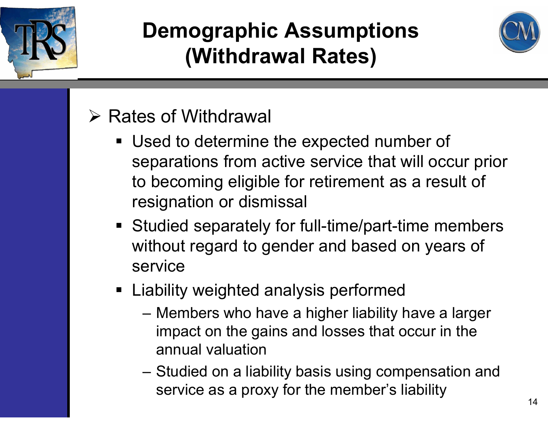



#### $\triangleright$  Rates of Withdrawal

- Used to determine the expected number of separations from active service that will occur prior to becoming eligible for retirement as a result of resignation or dismissal
- Studied separately for full-time/part-time members without regard to gender and based on years of service
- Liability weighted analysis performed
	- – Members who have a higher liability have a larger impact on the gains and losses that occur in the annual valuation
	- – Studied on a liability basis using compensation and service as a proxy for the member's liability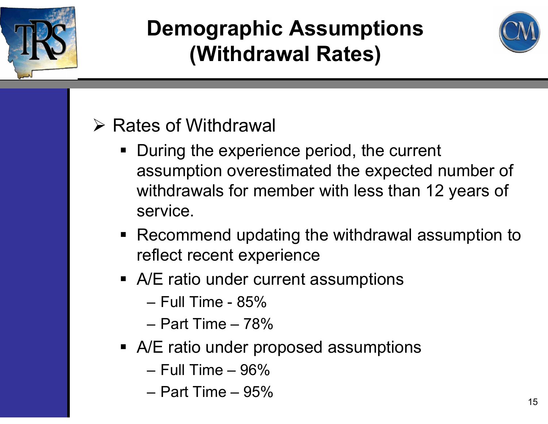



#### $\triangleright$  Rates of Withdrawal

- **During the experience period, the current** assumption overestimated the expected number of withdrawals for member with less than 12 years of service.
- Recommend updating the withdrawal assumption to reflect recent experience
- A/E ratio under current assumptions
	- Full Time 85%
	- Part Time 78%
- A/E ratio under proposed assumptions
	- Full Time 96%
	- Part Time 95%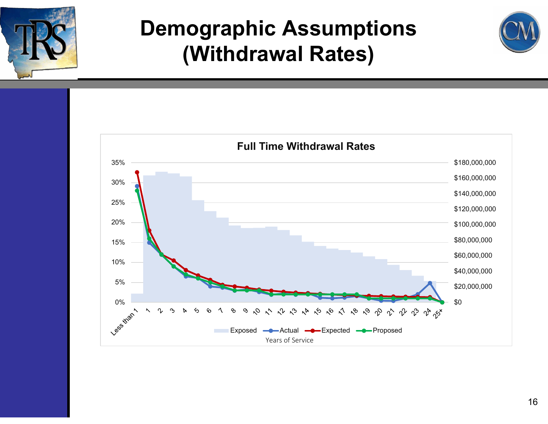



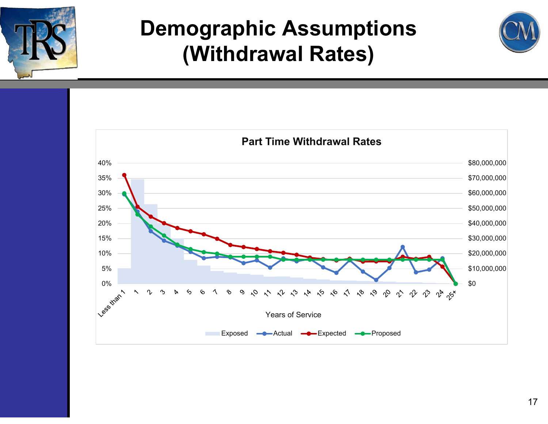



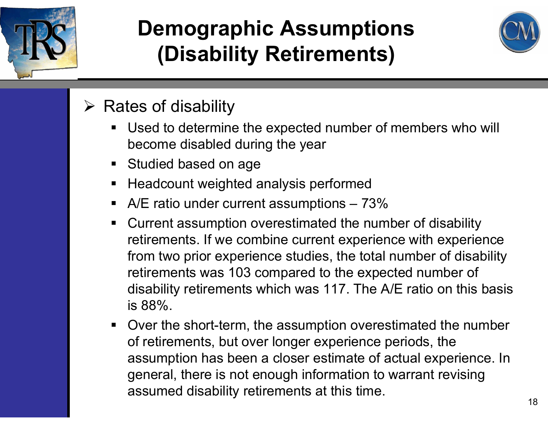

## **Demographic Assumptions (Disability Retirements)**



#### $\triangleright$  Rates of disability

- Used to determine the expected number of members who will become disabled during the year
- **Studied based on age**
- $\blacksquare$ Headcount weighted analysis performed
- $\blacksquare$ A/E ratio under current assumptions - 73%
- $\blacksquare$  Current assumption overestimated the number of disability retirements. If we combine current experience with experience from two prior experience studies, the total number of disability retirements was 103 compared to the expected number of disability retirements which was 117. The A/E ratio on this basis is 88%.
- Over the short-term, the assumption overestimated the number of retirements, but over longer experience periods, the assumption has been a closer estimate of actual experience. In general, there is not enough information to warrant revising assumed disability retirements at this time.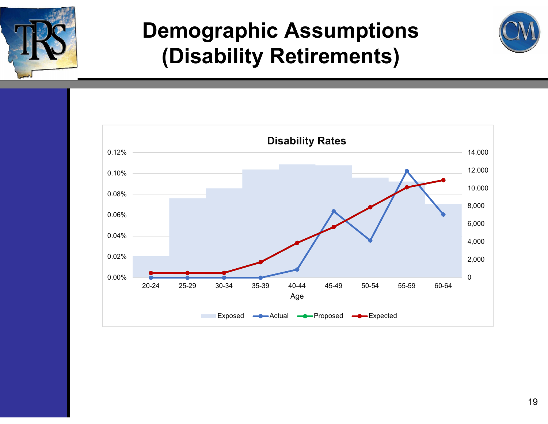

#### **Demographic Assumptions (Disability Retirements)**



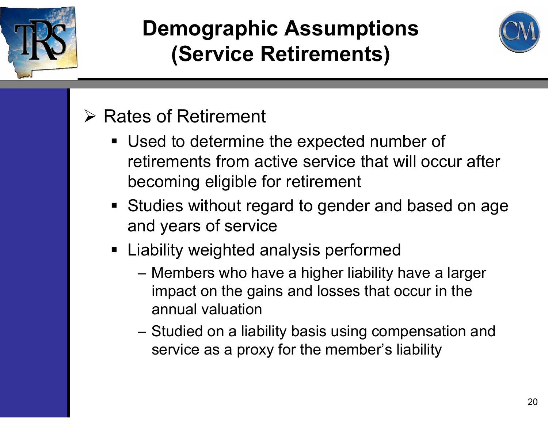



#### $\triangleright$  Rates of Retirement

- Used to determine the expected number of retirements from active service that will occur after becoming eligible for retirement
- **Studies without regard to gender and based on age** and years of service
- **Example 2 Fighted analysis performed** 
	- Members who have a higher liability have a larger impact on the gains and losses that occur in the annual valuation
	- – Studied on a liability basis using compensation and service as a proxy for the member's liability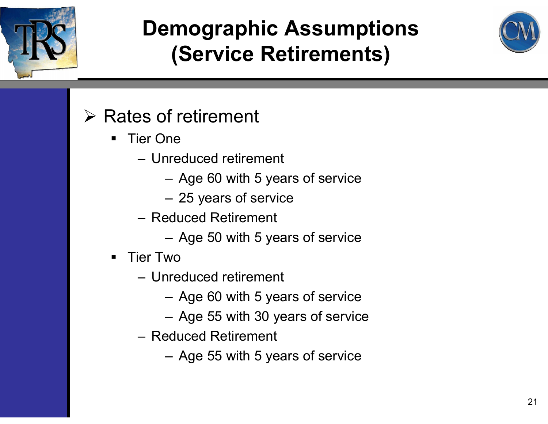



#### $\triangleright$  Rates of retirement

- $\blacksquare$  Tier One
	- Unreduced retirement
		- Age 60 with 5 years of service
		- 25 years of service
	- Reduced Retirement
		- Age 50 with 5 years of service
- $\blacksquare$  Tier Two
	- Unreduced retirement
		- Age 60 with 5 years of service
		- Age 55 with 30 years of service
	- Reduced Retirement
		- Age 55 with 5 years of service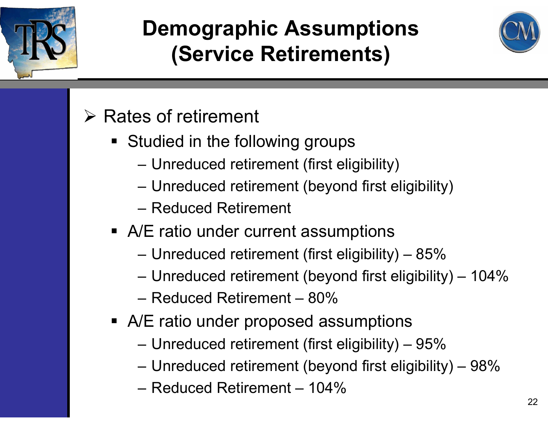



#### $\triangleright$  Rates of retirement

- **Studied in the following groups** 
	- Unreduced retirement (first eligibility)
	- Unreduced retirement (beyond first eligibility)
	- Reduced Retirement
- A/E ratio under current assumptions
	- Unreduced retirement (first eligibility) 85%
	- Unreduced retirement (beyond first eligibility) 104%
	- Reduced Retirement 80%
- A/E ratio under proposed assumptions
	- Unreduced retirement (first eligibility) 95%
	- Unreduced retirement (beyond first eligibility) 98%
	- Reduced Retirement 104%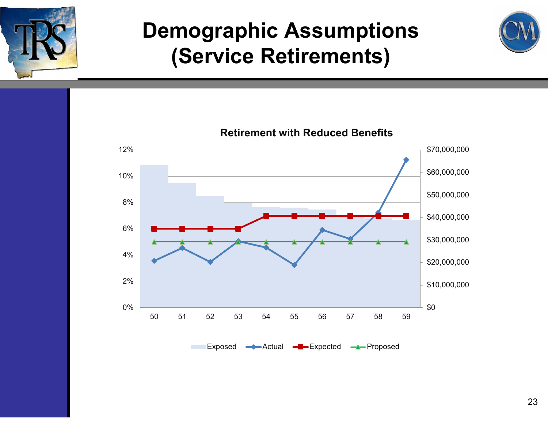





Exposed **-**Actual **-**Proposed **-**

**Retirement with Reduced Benefits**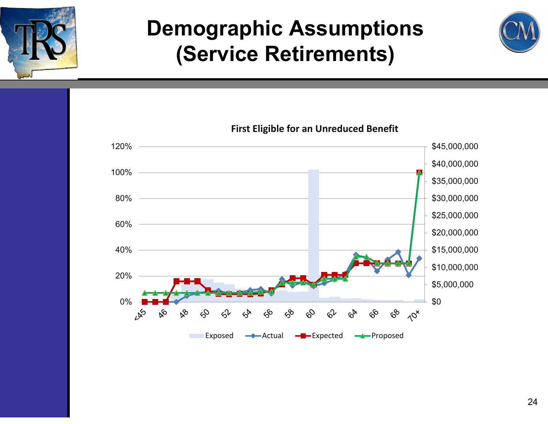





#### **First Eligible for an Unreduced Benefit**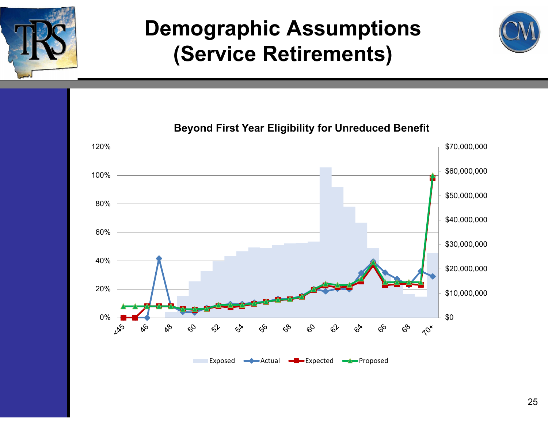![](_page_24_Picture_0.jpeg)

![](_page_24_Figure_2.jpeg)

![](_page_24_Figure_3.jpeg)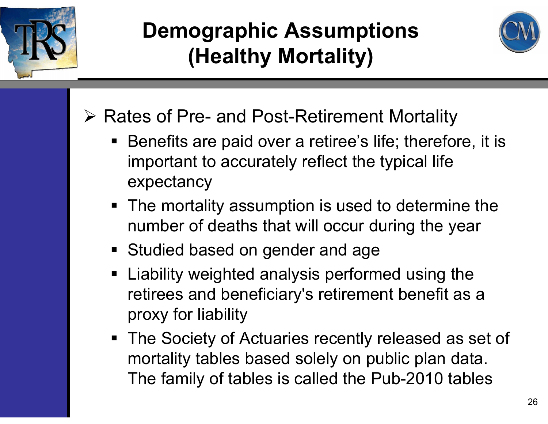![](_page_25_Picture_0.jpeg)

## **Demographic Assumptions (Healthy Mortality)**

![](_page_25_Picture_2.jpeg)

- **▶ Rates of Pre- and Post-Retirement Mortality** 
	- Benefits are paid over a retiree's life; therefore, it is important to accurately reflect the typical life expectancy
	- The mortality assumption is used to determine the number of deaths that will occur during the year
	- **Studied based on gender and age**
	- **Example 2** Liability weighted analysis performed using the retirees and beneficiary's retirement benefit as a proxy for liability
	- **The Society of Actuaries recently released as set of** mortality tables based solely on public plan data. The family of tables is called the Pub-2010 tables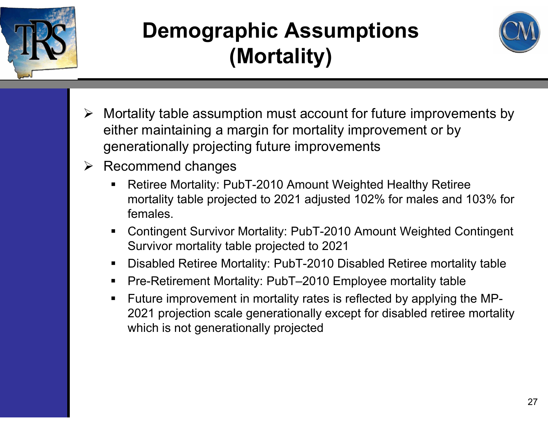![](_page_26_Picture_0.jpeg)

## **Demographic Assumptions (Mortality)**

![](_page_26_Picture_2.jpeg)

- Mortality table assumption must account for future improvements by either maintaining a margin for mortality improvement or by generationally projecting future improvements
- $\triangleright$  Recommend changes
	- $\blacksquare$  Retiree Mortality: PubT-2010 Amount Weighted Healthy Retiree mortality table projected to 2021 adjusted 102% for males and 103% for females.
	- $\blacksquare$  Contingent Survivor Mortality: PubT-2010 Amount Weighted Contingent Survivor mortality table projected to 2021
	- $\blacksquare$ Disabled Retiree Mortality: PubT-2010 Disabled Retiree mortality table
	- $\blacksquare$ Pre-Retirement Mortality: PubT–2010 Employee mortality table
	- $\blacksquare$  Future improvement in mortality rates is reflected by applying the MP-2021 projection scale generationally except for disabled retiree mortality which is not generationally projected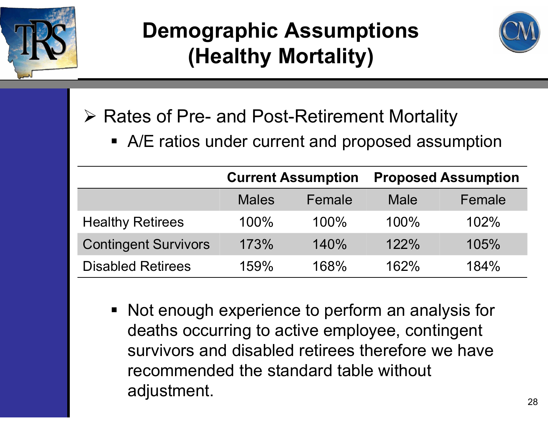![](_page_27_Picture_0.jpeg)

## **Demographic Assumptions (Healthy Mortality)**

![](_page_27_Picture_2.jpeg)

**▶ Rates of Pre- and Post-Retirement Mortality** 

**• A/E ratios under current and proposed assumption** 

|                             |              | <b>Current Assumption</b> | <b>Proposed Assumption</b> |        |  |
|-----------------------------|--------------|---------------------------|----------------------------|--------|--|
|                             | <b>Males</b> | Female                    | Male                       | Female |  |
| <b>Healthy Retirees</b>     | 100%         | $100\%$                   | 100%                       | 102%   |  |
| <b>Contingent Survivors</b> | 173%         | 140%                      | 122%                       | 105%   |  |
| <b>Disabled Retirees</b>    | 159%         | 168%                      | 162%                       | 184%   |  |

■ Not enough experience to perform an analysis for deaths occurring to active employee, contingent survivors and disabled retirees therefore we have recommended the standard table without adjustment.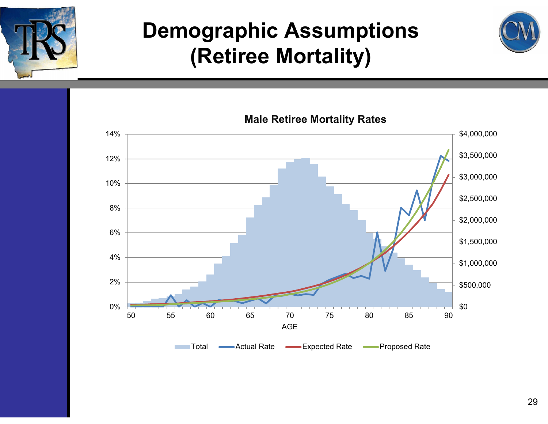![](_page_28_Picture_0.jpeg)

#### **Demographic Assumptions (Retiree Mortality)**

![](_page_28_Picture_2.jpeg)

**Male Retiree Mortality Rates**

![](_page_28_Figure_4.jpeg)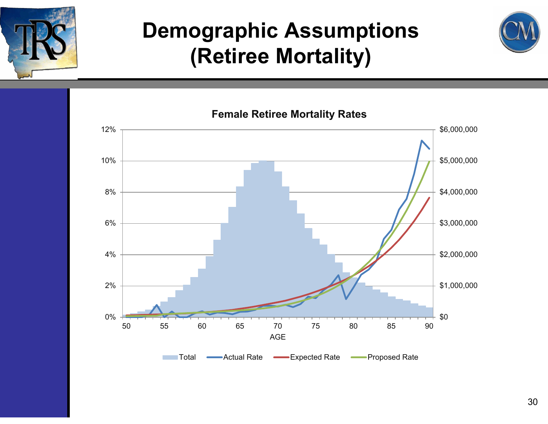![](_page_29_Picture_0.jpeg)

#### **Demographic Assumptions (Retiree Mortality)**

![](_page_29_Picture_2.jpeg)

![](_page_29_Figure_3.jpeg)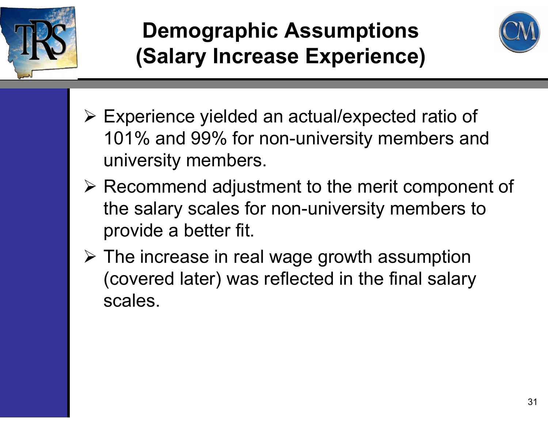![](_page_30_Picture_0.jpeg)

## **Demographic Assumptions (Salary Increase Experience)**

![](_page_30_Picture_2.jpeg)

- Experience yielded an actual/expected ratio of 101% and 99% for non-university members and university members.
- Recommend adjustment to the merit component of the salary scales for non-university members to provide a better fit.
- $\triangleright$  The increase in real wage growth assumption (covered later) was reflected in the final salary scales.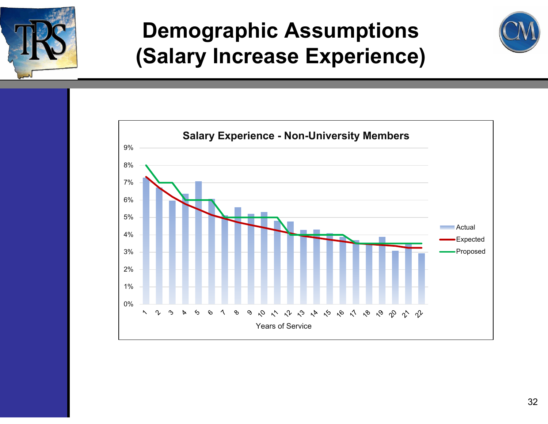![](_page_31_Picture_0.jpeg)

#### **Demographic Assumptions (Salary Increase Experience)**

![](_page_31_Figure_2.jpeg)

![](_page_31_Figure_3.jpeg)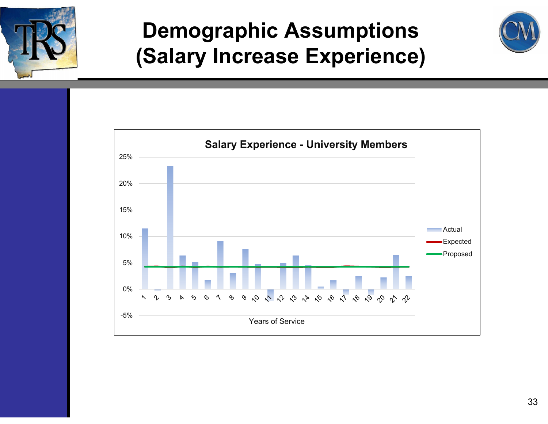![](_page_32_Picture_0.jpeg)

#### **Demographic Assumptions (Salary Increase Experience)**

![](_page_32_Picture_2.jpeg)

![](_page_32_Figure_3.jpeg)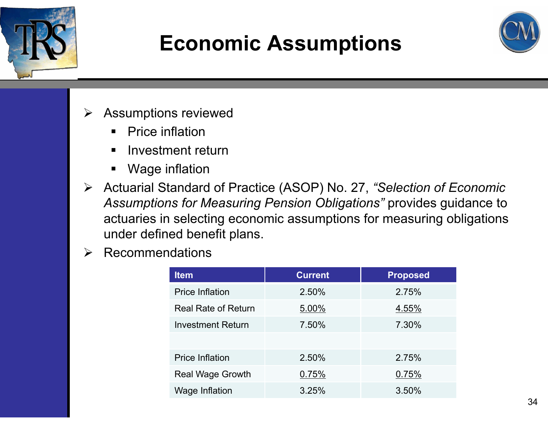![](_page_33_Picture_0.jpeg)

## **Economic Assumptions**

![](_page_33_Picture_2.jpeg)

- $\triangleright$  Assumptions reviewed
	- $\blacksquare$ Price inflation
	- $\blacksquare$ Investment return
	- $\blacksquare$ Wage inflation
- Actuarial Standard of Practice (ASOP) No. 27, *"Selection of Economic Assumptions for Measuring Pension Obligations"* provides guidance to actuaries in selecting economic assumptions for measuring obligations under defined benefit plans.
- $\blacktriangleright$ Recommendations

| <b>Item</b>                | <b>Current</b> | <b>Proposed</b> |  |
|----------------------------|----------------|-----------------|--|
| <b>Price Inflation</b>     | 2.50%          | 2.75%           |  |
| <b>Real Rate of Return</b> | 5.00%          | 4.55%           |  |
| <b>Investment Return</b>   | 7.50%          | 7.30%           |  |
|                            |                |                 |  |
| <b>Price Inflation</b>     | 2.50%          | 2.75%           |  |
| <b>Real Wage Growth</b>    | 0.75%          | 0.75%           |  |
| Wage Inflation             | 3.25%          | 3.50%           |  |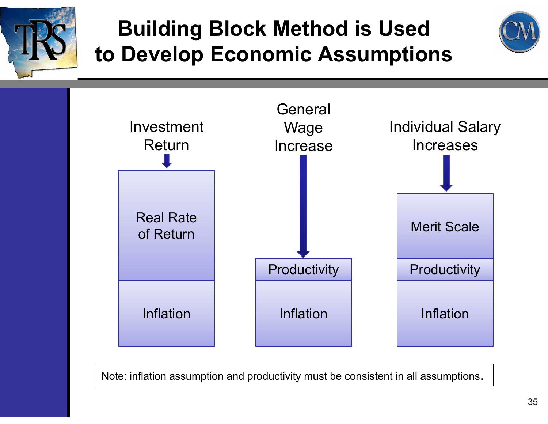![](_page_34_Picture_0.jpeg)

## **Building Block Method is Used to Develop Economic Assumptions**

![](_page_34_Picture_2.jpeg)

![](_page_34_Figure_3.jpeg)

Note: inflation assumption and productivity must be consistent in all assumptions.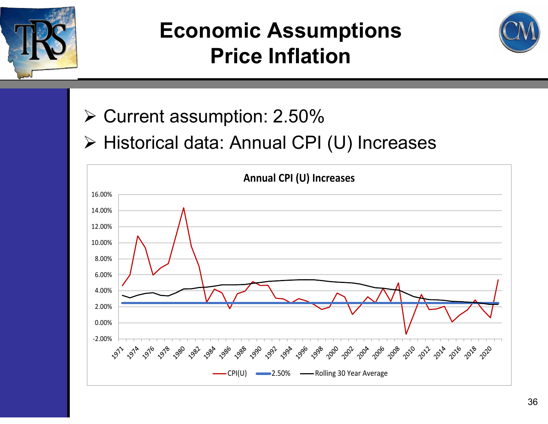![](_page_35_Picture_0.jpeg)

![](_page_35_Picture_2.jpeg)

- **≻ Current assumption: 2.50%**
- > Historical data: Annual CPI (U) Increases

![](_page_35_Figure_5.jpeg)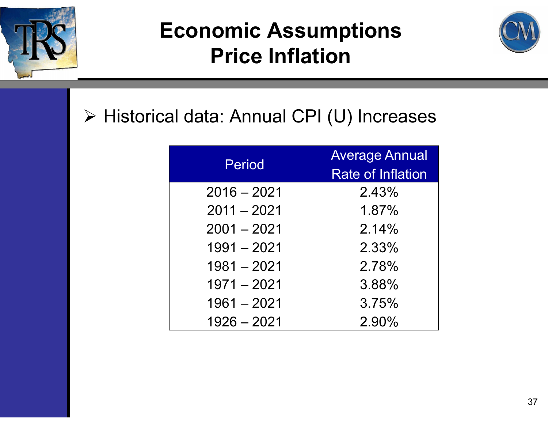![](_page_36_Picture_0.jpeg)

![](_page_36_Picture_2.jpeg)

#### > Historical data: Annual CPI (U) Increases

| Period        | <b>Average Annual</b>    |
|---------------|--------------------------|
|               | <b>Rate of Inflation</b> |
| $2016 - 2021$ | 2.43%                    |
| $2011 - 2021$ | 1.87%                    |
| $2001 - 2021$ | 2.14%                    |
| $1991 - 2021$ | 2.33%                    |
| $1981 - 2021$ | 2.78%                    |
| $1971 - 2021$ | 3.88%                    |
| $1961 - 2021$ | 3.75%                    |
| $1926 - 2021$ | 2.90%                    |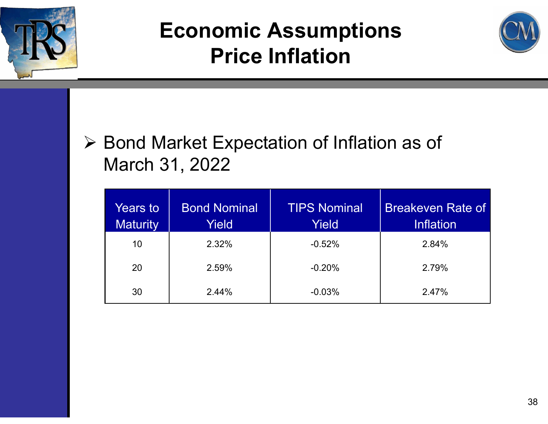![](_page_37_Picture_0.jpeg)

![](_page_37_Picture_2.jpeg)

#### **≻ Bond Market Expectation of Inflation as of** March 31, 2022

| Years to<br><b>Maturity</b> | <b>Bond Nominal</b><br>Yield | <b>TIPS Nominal</b><br>Yield | <b>Breakeven Rate of</b><br><b>Inflation</b> |
|-----------------------------|------------------------------|------------------------------|----------------------------------------------|
| 10                          | 2.32%                        | $-0.52%$                     | 2.84%                                        |
| 20                          | 2.59%                        | $-0.20%$                     | 2.79%                                        |
| 30                          | 2.44%                        | $-0.03%$                     | 2.47%                                        |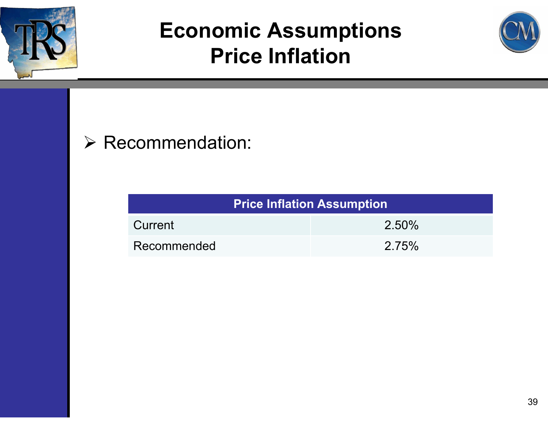![](_page_38_Picture_0.jpeg)

![](_page_38_Picture_2.jpeg)

#### $\triangleright$  Recommendation:

| <b>Price Inflation Assumption</b> |  |  |  |  |
|-----------------------------------|--|--|--|--|
| $2.50\%$<br>Current               |  |  |  |  |
| 2.75%<br>Recommended              |  |  |  |  |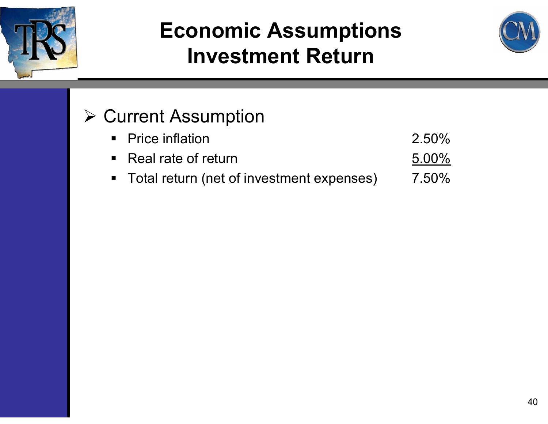![](_page_39_Picture_0.jpeg)

![](_page_39_Picture_2.jpeg)

#### **≻ Current Assumption**

| • Price inflation                           | 2.50%    |
|---------------------------------------------|----------|
| $\blacksquare$ Real rate of return          | $5.00\%$ |
| • Total return (net of investment expenses) | 7.50%    |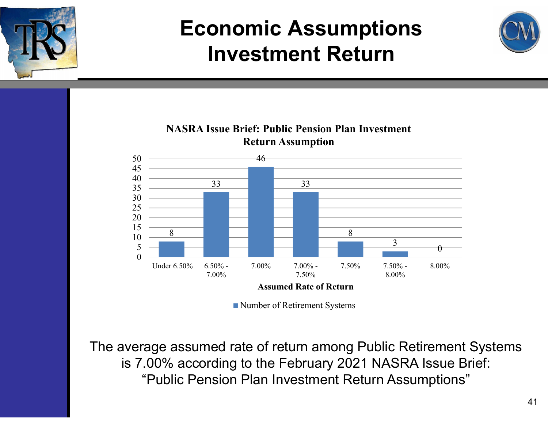![](_page_40_Picture_0.jpeg)

![](_page_40_Picture_2.jpeg)

![](_page_40_Figure_3.jpeg)

![](_page_40_Figure_4.jpeg)

Number of Retirement Systems

The average assumed rate of return among Public Retirement Systems is 7.00% according to the February 2021 NASRA Issue Brief: "Public Pension Plan Investment Return Assumptions"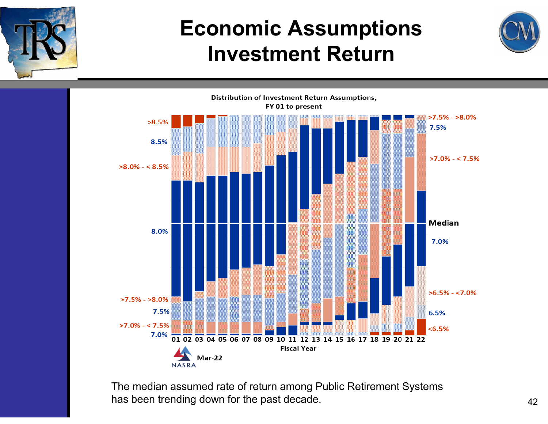![](_page_41_Picture_0.jpeg)

![](_page_41_Picture_2.jpeg)

![](_page_41_Figure_3.jpeg)

The median assumed rate of return among Public Retirement Systems has been trending down for the past decade.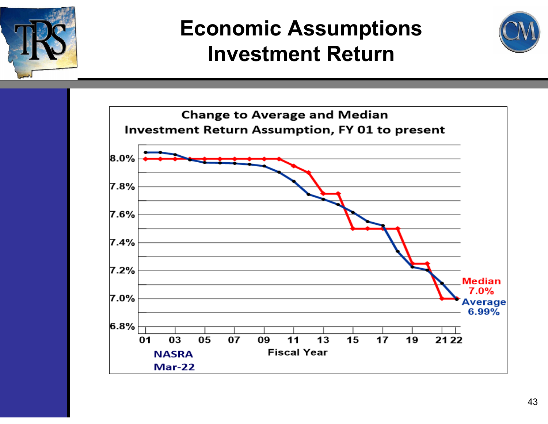![](_page_42_Picture_0.jpeg)

![](_page_42_Picture_2.jpeg)

![](_page_42_Figure_3.jpeg)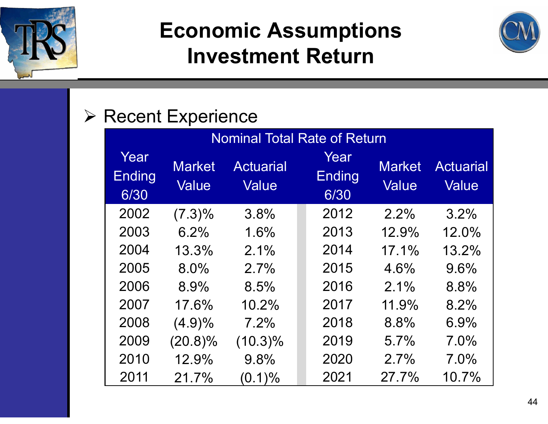![](_page_43_Picture_0.jpeg)

![](_page_43_Picture_2.jpeg)

#### $\triangleright$  Recent Experience

| <b>Nominal Total Rate of Return</b> |                        |                                  |  |                               |                        |                           |
|-------------------------------------|------------------------|----------------------------------|--|-------------------------------|------------------------|---------------------------|
| Year<br><b>Ending</b><br>6/30       | <b>Market</b><br>Value | <b>Actuarial</b><br><b>Value</b> |  | Year<br><b>Ending</b><br>6/30 | <b>Market</b><br>Value | <b>Actuarial</b><br>Value |
| 2002                                | $(7.3)\%$              | 3.8%                             |  | 2012                          | 2.2%                   | 3.2%                      |
| 2003                                | 6.2%                   | 1.6%                             |  | 2013                          | 12.9%                  | 12.0%                     |
| 2004                                | 13.3%                  | 2.1%                             |  | 2014                          | 17.1%                  | 13.2%                     |
| 2005                                | 8.0%                   | 2.7%                             |  | 2015                          | 4.6%                   | 9.6%                      |
| 2006                                | 8.9%                   | 8.5%                             |  | 2016                          | 2.1%                   | 8.8%                      |
| 2007                                | 17.6%                  | 10.2%                            |  | 2017                          | 11.9%                  | 8.2%                      |
| 2008                                | $(4.9)\%$              | 7.2%                             |  | 2018                          | 8.8%                   | 6.9%                      |
| 2009                                | $(20.8)\%$             | $(10.3)\%$                       |  | 2019                          | 5.7%                   | 7.0%                      |
| 2010                                | 12.9%                  | 9.8%                             |  | 2020                          | 2.7%                   | 7.0%                      |
| 2011                                | 21.7%                  | $(0.1)\%$                        |  | 2021                          | $27.7\%$               | 10.7%                     |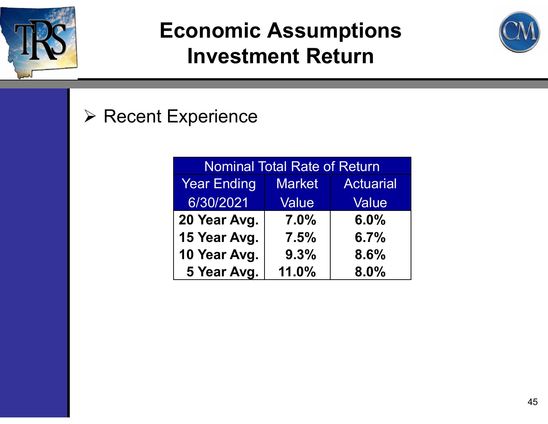![](_page_44_Picture_0.jpeg)

![](_page_44_Picture_2.jpeg)

#### $\triangleright$  Recent Experience

| <b>Nominal Total Rate of Return</b> |                                   |       |  |  |  |
|-------------------------------------|-----------------------------------|-------|--|--|--|
| <b>Year Ending</b>                  | <b>Actuarial</b><br><b>Market</b> |       |  |  |  |
| 6/30/2021                           | <b>Value</b>                      | Value |  |  |  |
| 20 Year Avg.                        | 7.0%                              | 6.0%  |  |  |  |
| 15 Year Avg.                        | 7.5%                              | 6.7%  |  |  |  |
| 10 Year Avg.                        | 9.3%                              | 8.6%  |  |  |  |
| 5 Year Avg.                         | 11.0%                             | 8.0%  |  |  |  |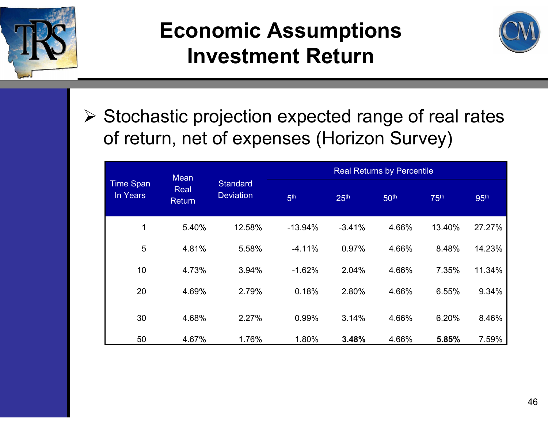![](_page_45_Picture_0.jpeg)

![](_page_45_Picture_2.jpeg)

 $\triangleright$  Stochastic projection expected range of real rates of return, net of expenses (Horizon Survey)

| <b>Mean</b>                  |                       |                                                        | <b>Real Returns by Percentile</b> |                  |                  |                  |                  |  |
|------------------------------|-----------------------|--------------------------------------------------------|-----------------------------------|------------------|------------------|------------------|------------------|--|
| <b>Time Span</b><br>In Years | Real<br><b>Return</b> | <b>Standard</b><br><b>Deviation</b><br>5 <sup>th</sup> |                                   | 25 <sup>th</sup> | 50 <sup>th</sup> | 75 <sup>th</sup> | 95 <sup>th</sup> |  |
| 1                            | 5.40%                 | 12.58%                                                 | $-13.94%$                         | $-3.41%$         | 4.66%            | 13.40%           | 27.27%           |  |
| 5                            | 4.81%                 | 5.58%                                                  | $-4.11%$                          | 0.97%            | 4.66%            | 8.48%            | 14.23%           |  |
| 10                           | 4.73%                 | 3.94%                                                  | $-1.62%$                          | 2.04%            | 4.66%            | 7.35%            | 11.34%           |  |
| 20                           | 4.69%                 | 2.79%                                                  | 0.18%                             | 2.80%            | 4.66%            | 6.55%            | 9.34%            |  |
| 30                           | 4.68%                 | 2.27%                                                  | 0.99%                             | 3.14%            | 4.66%            | 6.20%            | 8.46%            |  |
| 50                           | 4.67%                 | 1.76%                                                  | 1.80%                             | 3.48%            | 4.66%            | 5.85%            | 7.59%            |  |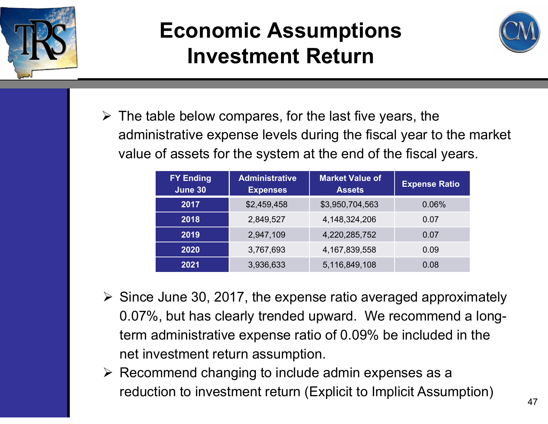![](_page_46_Picture_0.jpeg)

![](_page_46_Picture_2.jpeg)

 $\triangleright$  The table below compares, for the last five years, the administrative expense levels during the fiscal year to the market value of assets for the system at the end of the fiscal years.

| <b>FY Ending</b><br>June 30 | <b>Administrative</b><br><b>Expenses</b> | <b>Market Value of</b><br><b>Assets</b> | <b>Expense Ratio</b> |
|-----------------------------|------------------------------------------|-----------------------------------------|----------------------|
| 2017                        | \$2,459,458                              | \$3,950,704,563                         | 0.06%                |
| 2018                        | 2,849,527                                | 4,148,324,206                           | 0.07                 |
| 2019                        | 2,947,109                                | 4,220,285,752                           | 0.07                 |
| 2020                        | 3,767,693                                | 4, 167, 839, 558                        | 0.09                 |
| 2021                        | 3,936,633                                | 5,116,849,108                           | 0.08                 |

- $\triangleright$  Since June 30, 2017, the expense ratio averaged approximately 0.07%, but has clearly trended upward. We recommend a longterm administrative expense ratio of 0.09% be included in the net investment return assumption.
- $\triangleright$  Recommend changing to include admin expenses as a reduction to investment return (Explicit to Implicit Assumption)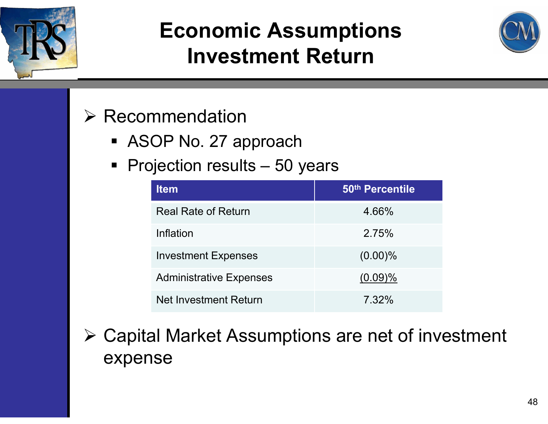![](_page_47_Picture_0.jpeg)

![](_page_47_Picture_2.jpeg)

#### $\triangleright$  Recommendation

- ASOP No. 27 approach
- Projection results 50 years

| <b>Item</b>                    | 50th Percentile |
|--------------------------------|-----------------|
| <b>Real Rate of Return</b>     | 4.66%           |
| Inflation                      | 2.75%           |
| <b>Investment Expenses</b>     | $(0.00)\%$      |
| <b>Administrative Expenses</b> | (0.09)%         |
| <b>Net Investment Return</b>   | 7.32%           |

 Capital Market Assumptions are net of investment expense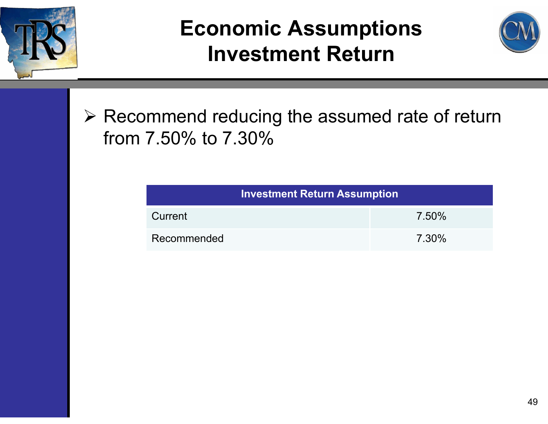![](_page_48_Picture_0.jpeg)

![](_page_48_Picture_2.jpeg)

 $\triangleright$  Recommend reducing the assumed rate of return from 7.50% to 7.30%

| <b>Investment Return Assumption</b> |       |  |  |  |
|-------------------------------------|-------|--|--|--|
| Current                             | 7.50% |  |  |  |
| Recommended                         | 7.30% |  |  |  |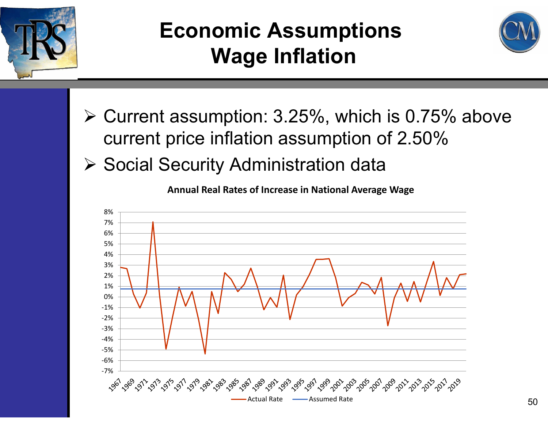![](_page_49_Picture_0.jpeg)

## **Economic Assumptions Wage Inflation**

![](_page_49_Picture_2.jpeg)

- $\triangleright$  Current assumption: 3.25%, which is 0.75% above current price inflation assumption of 2.50%
- ▶ Social Security Administration data

![](_page_49_Figure_5.jpeg)

**Annual Real Rates of Increase in National Average Wage**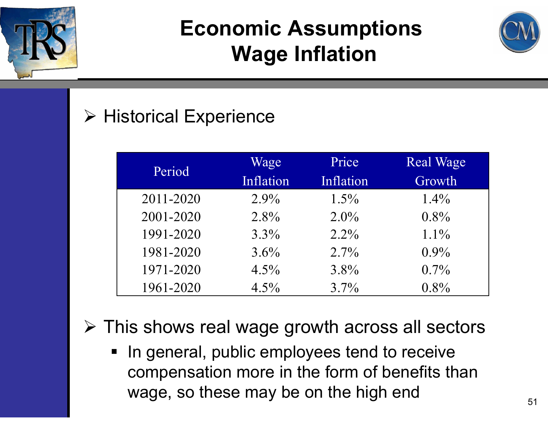![](_page_50_Picture_0.jpeg)

## **Economic Assumptions Wage Inflation**

![](_page_50_Picture_2.jpeg)

#### Historical Experience

| Period    | Wage      | Price     | <b>Real Wage</b> |
|-----------|-----------|-----------|------------------|
|           | Inflation | Inflation | Growth           |
| 2011-2020 | $2.9\%$   | $1.5\%$   | $1.4\%$          |
| 2001-2020 | $2.8\%$   | $2.0\%$   | $0.8\%$          |
| 1991-2020 | $3.3\%$   | $2.2\%$   | $1.1\%$          |
| 1981-2020 | 3.6%      | $2.7\%$   | $0.9\%$          |
| 1971-2020 | $4.5\%$   | $3.8\%$   | $0.7\%$          |
| 1961-2020 | 4.5%      | $3.7\%$   | $0.8\%$          |

This shows real wage growth across all sectors

■ In general, public employees tend to receive compensation more in the form of benefits than wage, so these may be on the high end  $51$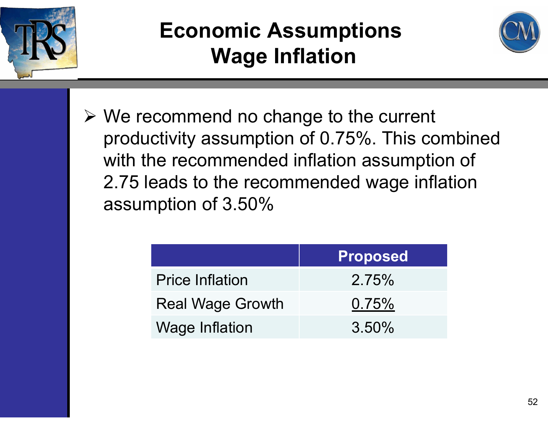![](_page_51_Picture_0.jpeg)

## **Economic Assumptions Wage Inflation**

![](_page_51_Picture_2.jpeg)

 We recommend no change to the current productivity assumption of 0.75%. This combined with the recommended inflation assumption of 2.75 leads to the recommended wage inflation assumption of 3.50%

|                         | <b>Proposed</b> |  |  |
|-------------------------|-----------------|--|--|
| <b>Price Inflation</b>  | 2.75%           |  |  |
| <b>Real Wage Growth</b> | 0.75%           |  |  |
| <b>Wage Inflation</b>   | $3.50\%$        |  |  |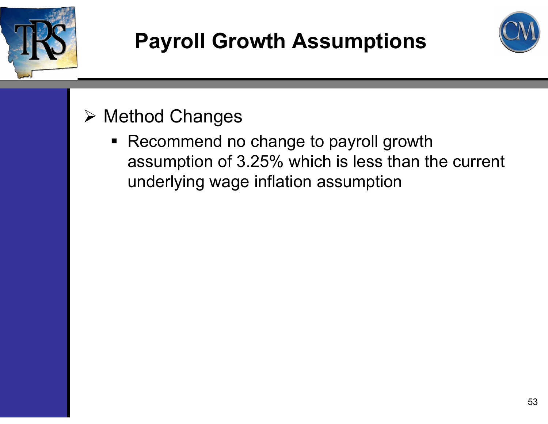![](_page_52_Picture_0.jpeg)

## **Payroll Growth Assumptions**

![](_page_52_Picture_2.jpeg)

#### Method Changes

■ Recommend no change to payroll growth assumption of 3.25% which is less than the current underlying wage inflation assumption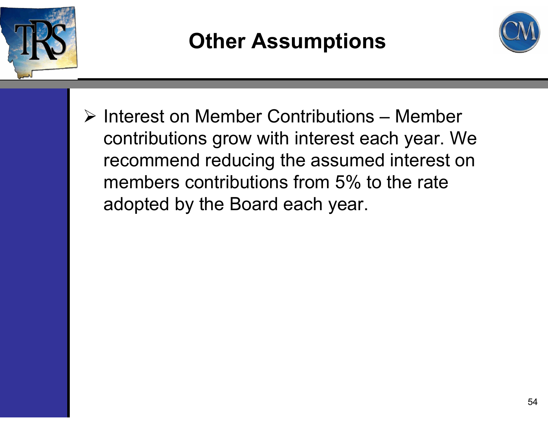![](_page_53_Picture_0.jpeg)

## **Other Assumptions**

![](_page_53_Picture_2.jpeg)

 $\triangleright$  Interest on Member Contributions – Member contributions grow with interest each year. We recommend reducing the assumed interest on members contributions from 5% to the rate adopted by the Board each year.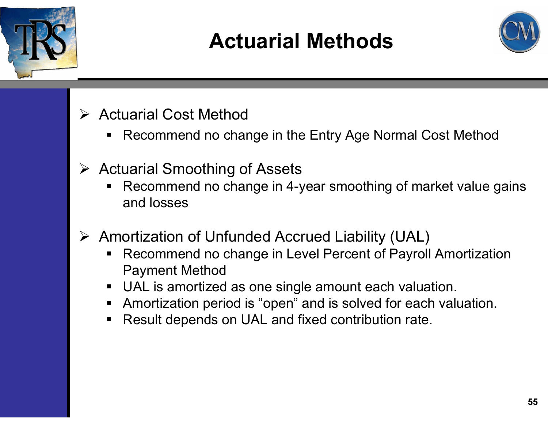![](_page_54_Picture_0.jpeg)

## **Actuarial Methods**

![](_page_54_Picture_2.jpeg)

- **► Actuarial Cost Method** 
	- Recommend no change in the Entry Age Normal Cost Method
- **▶ Actuarial Smoothing of Assets** 
	- ٠ Recommend no change in 4-year smoothing of market value gains and losses
- Amortization of Unfunded Accrued Liability (UAL)
	- $\blacksquare$  Recommend no change in Level Percent of Payroll Amortization Payment Method
	- UAL is amortized as one single amount each valuation.
	- Amortization period is "open" and is solved for each valuation.
	- ٠ Result depends on UAL and fixed contribution rate.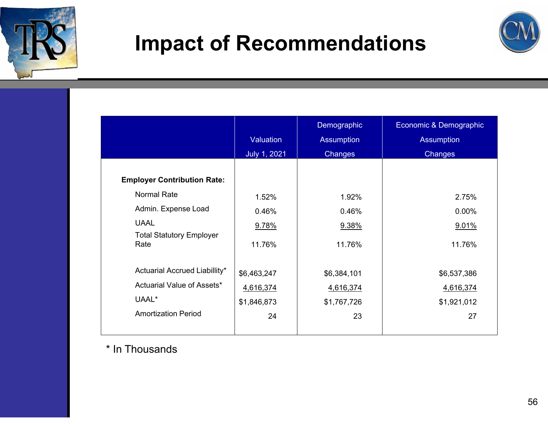![](_page_55_Picture_0.jpeg)

#### **Impact of Recommendations**

![](_page_55_Picture_2.jpeg)

|                                         | Valuation<br>July 1, 2021 | Demographic<br><b>Assumption</b><br>Changes | Economic & Demographic<br><b>Assumption</b><br>Changes |
|-----------------------------------------|---------------------------|---------------------------------------------|--------------------------------------------------------|
| <b>Employer Contribution Rate:</b>      |                           |                                             |                                                        |
| <b>Normal Rate</b>                      | 1.52%                     | 1.92%                                       | 2.75%                                                  |
| Admin. Expense Load                     | 0.46%                     | 0.46%                                       | 0.00%                                                  |
| <b>UAAL</b>                             | 9.78%                     | 9.38%                                       | 9.01%                                                  |
| <b>Total Statutory Employer</b><br>Rate | 11.76%                    | 11.76%                                      | 11.76%                                                 |
| Actuarial Accrued Liabillity*           | \$6,463,247               | \$6,384,101                                 | \$6,537,386                                            |
| Actuarial Value of Assets*              | 4,616,374                 | 4,616,374                                   | 4,616,374                                              |
| UAAL*                                   | \$1,846,873               | \$1,767,726                                 | \$1,921,012                                            |
| <b>Amortization Period</b>              | 24                        | 23                                          | 27                                                     |

\* In Thousands